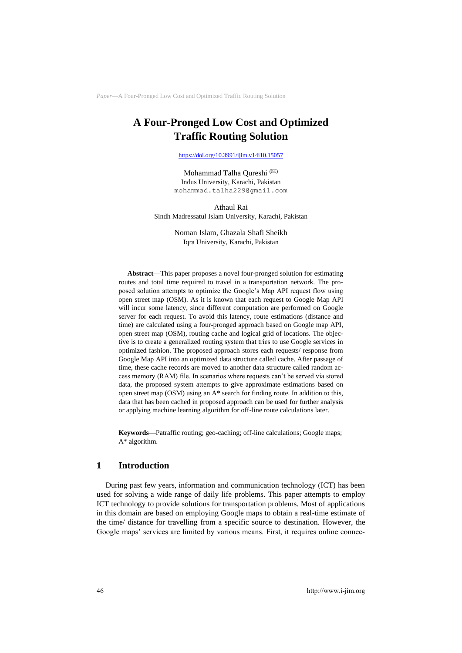# **A Four-Pronged Low Cost and Optimized Traffic Routing Solution**

<https://doi.org/10.3991/ijim.v14i10.15057>

Mohammad Talha Qureshi<sup>( $\boxtimes$ )</sup> Indus University, Karachi, Pakistan [mohammad.talha229@gmail.com](mailto:mohammad.talha229@gmail.com)

Athaul Rai Sindh Madressatul Islam University, Karachi, Pakistan

> Noman Islam, Ghazala Shafi Sheikh Iqra University, Karachi, Pakistan

**Abstract**—This paper proposes a novel four-pronged solution for estimating routes and total time required to travel in a transportation network. The proposed solution attempts to optimize the Google's Map API request flow using open street map (OSM). As it is known that each request to Google Map API will incur some latency, since different computation are performed on Google server for each request. To avoid this latency, route estimations (distance and time) are calculated using a four-pronged approach based on Google map API, open street map (OSM), routing cache and logical grid of locations. The objective is to create a generalized routing system that tries to use Google services in optimized fashion. The proposed approach stores each requests/ response from Google Map API into an optimized data structure called cache. After passage of time, these cache records are moved to another data structure called random access memory (RAM) file. In scenarios where requests can't be served via stored data, the proposed system attempts to give approximate estimations based on open street map (OSM) using an A\* search for finding route. In addition to this, data that has been cached in proposed approach can be used for further analysis or applying machine learning algorithm for off-line route calculations later.

**Keywords**—Patraffic routing; geo-caching; off-line calculations; Google maps; A\* algorithm.

## **1 Introduction**

During past few years, information and communication technology (ICT) has been used for solving a wide range of daily life problems. This paper attempts to employ ICT technology to provide solutions for transportation problems. Most of applications in this domain are based on employing Google maps to obtain a real-time estimate of the time/ distance for travelling from a specific source to destination. However, the Google maps' services are limited by various means. First, it requires online connec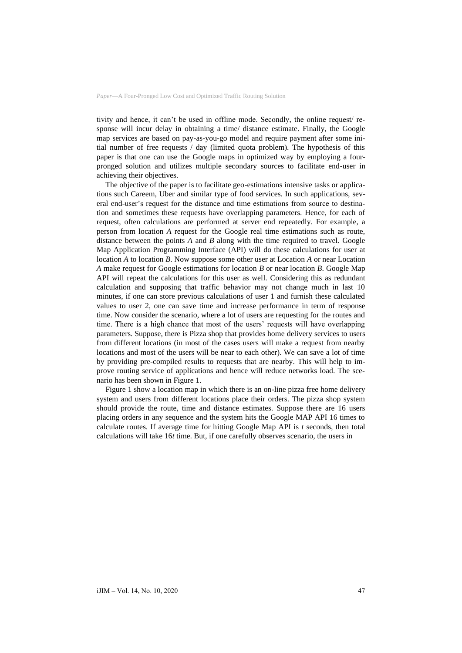tivity and hence, it can't be used in offline mode. Secondly, the online request/ response will incur delay in obtaining a time/ distance estimate. Finally, the Google map services are based on pay-as-you-go model and require payment after some initial number of free requests / day (limited quota problem). The hypothesis of this paper is that one can use the Google maps in optimized way by employing a fourpronged solution and utilizes multiple secondary sources to facilitate end-user in achieving their objectives.

The objective of the paper is to facilitate geo-estimations intensive tasks or applications such Careem, Uber and similar type of food services. In such applications, several end-user's request for the distance and time estimations from source to destination and sometimes these requests have overlapping parameters. Hence, for each of request, often calculations are performed at server end repeatedly. For example, a person from location *A* request for the Google real time estimations such as route, distance between the points *A* and *B* along with the time required to travel. Google Map Application Programming Interface (API) will do these calculations for user at location *A* to location *B*. Now suppose some other user at Location *A* or near Location *A* make request for Google estimations for location *B* or near location *B*. Google Map API will repeat the calculations for this user as well. Considering this as redundant calculation and supposing that traffic behavior may not change much in last 10 minutes, if one can store previous calculations of user 1 and furnish these calculated values to user 2, one can save time and increase performance in term of response time. Now consider the scenario, where a lot of users are requesting for the routes and time. There is a high chance that most of the users' requests will have overlapping parameters. Suppose, there is Pizza shop that provides home delivery services to users from different locations (in most of the cases users will make a request from nearby locations and most of the users will be near to each other). We can save a lot of time by providing pre-compiled results to requests that are nearby. This will help to improve routing service of applications and hence will reduce networks load. The scenario has been shown in Figure 1.

Figure 1 show a location map in which there is an on-line pizza free home delivery system and users from different locations place their orders. The pizza shop system should provide the route, time and distance estimates. Suppose there are 16 users placing orders in any sequence and the system hits the Google MAP API 16 times to calculate routes. If average time for hitting Google Map API is *t* seconds, then total calculations will take 16*t* time. But, if one carefully observes scenario, the users in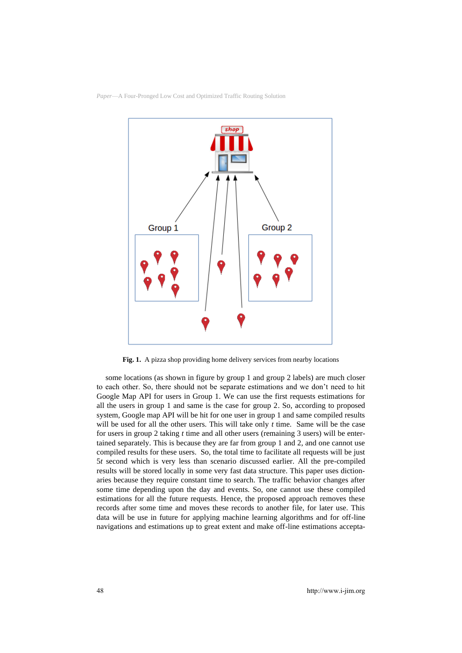



**Fig. 1.** A pizza shop providing home delivery services from nearby locations

some locations (as shown in figure by group 1 and group 2 labels) are much closer to each other. So, there should not be separate estimations and we don't need to hit Google Map API for users in Group 1. We can use the first requests estimations for all the users in group 1 and same is the case for group 2. So, according to proposed system, Google map API will be hit for one user in group 1 and same compiled results will be used for all the other users. This will take only *t* time. Same will be the case for users in group 2 taking *t* time and all other users (remaining 3 users) will be entertained separately. This is because they are far from group 1 and 2, and one cannot use compiled results for these users. So, the total time to facilitate all requests will be just 5*t* second which is very less than scenario discussed earlier. All the pre-compiled results will be stored locally in some very fast data structure. This paper uses dictionaries because they require constant time to search. The traffic behavior changes after some time depending upon the day and events. So, one cannot use these compiled estimations for all the future requests. Hence, the proposed approach removes these records after some time and moves these records to another file, for later use. This data will be use in future for applying machine learning algorithms and for off-line navigations and estimations up to great extent and make off-line estimations accepta-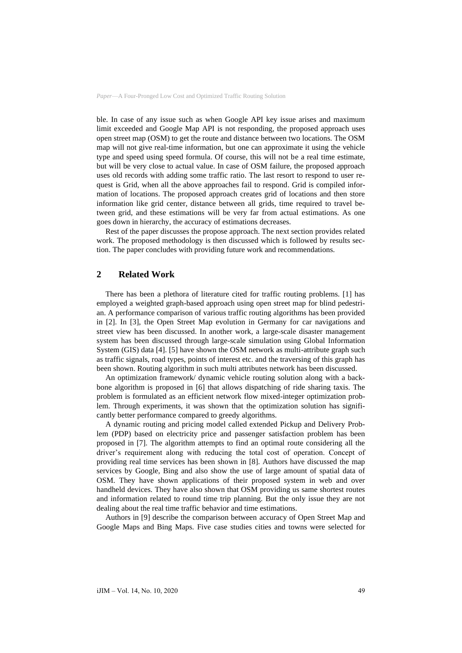ble. In case of any issue such as when Google API key issue arises and maximum limit exceeded and Google Map API is not responding, the proposed approach uses open street map (OSM) to get the route and distance between two locations. The OSM map will not give real-time information, but one can approximate it using the vehicle type and speed using speed formula. Of course, this will not be a real time estimate, but will be very close to actual value. In case of OSM failure, the proposed approach uses old records with adding some traffic ratio. The last resort to respond to user request is Grid, when all the above approaches fail to respond. Grid is compiled information of locations. The proposed approach creates grid of locations and then store information like grid center, distance between all grids, time required to travel between grid, and these estimations will be very far from actual estimations. As one goes down in hierarchy, the accuracy of estimations decreases.

Rest of the paper discusses the propose approach. The next section provides related work. The proposed methodology is then discussed which is followed by results section. The paper concludes with providing future work and recommendations.

## **2 Related Work**

There has been a plethora of literature cited for traffic routing problems. [1] has employed a weighted graph-based approach using open street map for blind pedestrian. A performance comparison of various traffic routing algorithms has been provided in [2]. In [3], the Open Street Map evolution in Germany for car navigations and street view has been discussed. In another work, a large-scale disaster management system has been discussed through large-scale simulation using Global Information System (GIS) data [4]. [5] have shown the OSM network as multi-attribute graph such as traffic signals, road types, points of interest etc. and the traversing of this graph has been shown. Routing algorithm in such multi attributes network has been discussed.

An optimization framework/ dynamic vehicle routing solution along with a backbone algorithm is proposed in [6] that allows dispatching of ride sharing taxis. The problem is formulated as an efficient network flow mixed-integer optimization problem. Through experiments, it was shown that the optimization solution has significantly better performance compared to greedy algorithms.

A dynamic routing and pricing model called extended Pickup and Delivery Problem (PDP) based on electricity price and passenger satisfaction problem has been proposed in [7]. The algorithm attempts to find an optimal route considering all the driver's requirement along with reducing the total cost of operation. Concept of providing real time services has been shown in [8]. Authors have discussed the map services by Google, Bing and also show the use of large amount of spatial data of OSM. They have shown applications of their proposed system in web and over handheld devices. They have also shown that OSM providing us same shortest routes and information related to round time trip planning. But the only issue they are not dealing about the real time traffic behavior and time estimations.

Authors in [9] describe the comparison between accuracy of Open Street Map and Google Maps and Bing Maps. Five case studies cities and towns were selected for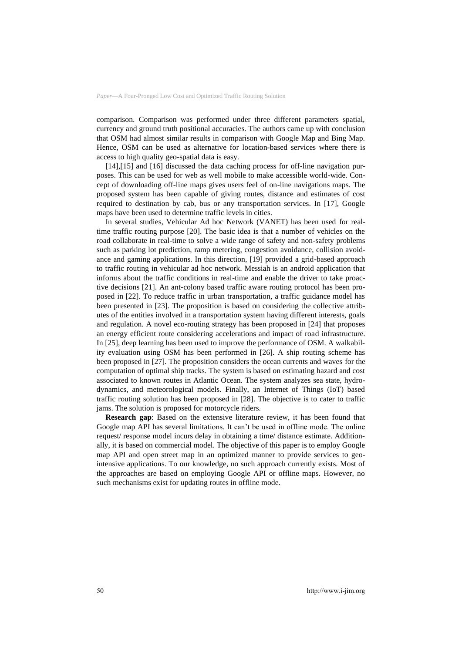comparison. Comparison was performed under three different parameters spatial, currency and ground truth positional accuracies. The authors came up with conclusion that OSM had almost similar results in comparison with Google Map and Bing Map. Hence, OSM can be used as alternative for location-based services where there is access to high quality geo-spatial data is easy.

[14],[15] and [16] discussed the data caching process for off-line navigation purposes. This can be used for web as well mobile to make accessible world-wide. Concept of downloading off-line maps gives users feel of on-line navigations maps. The proposed system has been capable of giving routes, distance and estimates of cost required to destination by cab, bus or any transportation services. In [17], Google maps have been used to determine traffic levels in cities.

In several studies, Vehicular Ad hoc Network (VANET) has been used for realtime traffic routing purpose [20]. The basic idea is that a number of vehicles on the road collaborate in real-time to solve a wide range of safety and non-safety problems such as parking lot prediction, ramp metering, congestion avoidance, collision avoidance and gaming applications. In this direction, [19] provided a grid-based approach to traffic routing in vehicular ad hoc network. Messiah is an android application that informs about the traffic conditions in real-time and enable the driver to take proactive decisions [21]. An ant-colony based traffic aware routing protocol has been proposed in [22]. To reduce traffic in urban transportation, a traffic guidance model has been presented in [23]. The proposition is based on considering the collective attributes of the entities involved in a transportation system having different interests, goals and regulation. A novel eco-routing strategy has been proposed in [24] that proposes an energy efficient route considering accelerations and impact of road infrastructure. In [25], deep learning has been used to improve the performance of OSM. A walkability evaluation using OSM has been performed in [26]. A ship routing scheme has been proposed in [27]. The proposition considers the ocean currents and waves for the computation of optimal ship tracks. The system is based on estimating hazard and cost associated to known routes in Atlantic Ocean. The system analyzes sea state, hydrodynamics, and meteorological models. Finally, an Internet of Things (IoT) based traffic routing solution has been proposed in [28]. The objective is to cater to traffic jams. The solution is proposed for motorcycle riders.

**Research gap**: Based on the extensive literature review, it has been found that Google map API has several limitations. It can't be used in offline mode. The online request/ response model incurs delay in obtaining a time/ distance estimate. Additionally, it is based on commercial model. The objective of this paper is to employ Google map API and open street map in an optimized manner to provide services to geointensive applications. To our knowledge, no such approach currently exists. Most of the approaches are based on employing Google API or offline maps. However, no such mechanisms exist for updating routes in offline mode.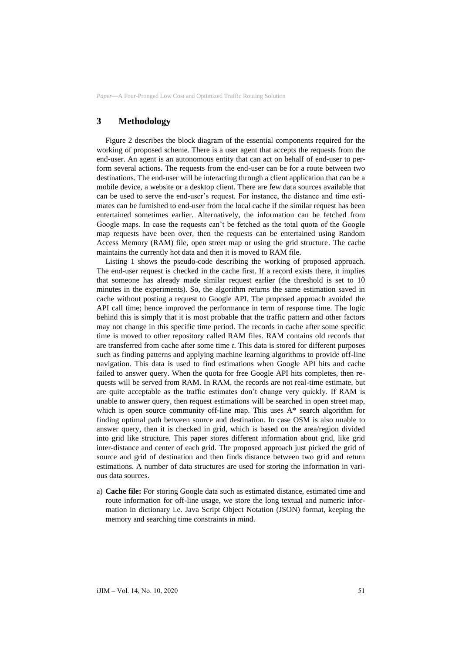# **3 Methodology**

Figure 2 describes the block diagram of the essential components required for the working of proposed scheme. There is a user agent that accepts the requests from the end-user. An agent is an autonomous entity that can act on behalf of end-user to perform several actions. The requests from the end-user can be for a route between two destinations. The end-user will be interacting through a client application that can be a mobile device, a website or a desktop client. There are few data sources available that can be used to serve the end-user's request. For instance, the distance and time estimates can be furnished to end-user from the local cache if the similar request has been entertained sometimes earlier. Alternatively, the information can be fetched from Google maps. In case the requests can't be fetched as the total quota of the Google map requests have been over, then the requests can be entertained using Random Access Memory (RAM) file, open street map or using the grid structure. The cache maintains the currently hot data and then it is moved to RAM file.

Listing 1 shows the pseudo-code describing the working of proposed approach. The end-user request is checked in the cache first. If a record exists there, it implies that someone has already made similar request earlier (the threshold is set to 10 minutes in the experiments). So, the algorithm returns the same estimation saved in cache without posting a request to Google API. The proposed approach avoided the API call time; hence improved the performance in term of response time. The logic behind this is simply that it is most probable that the traffic pattern and other factors may not change in this specific time period. The records in cache after some specific time is moved to other repository called RAM files. RAM contains old records that are transferred from cache after some time *t*. This data is stored for different purposes such as finding patterns and applying machine learning algorithms to provide off-line navigation. This data is used to find estimations when Google API hits and cache failed to answer query. When the quota for free Google API hits completes, then requests will be served from RAM. In RAM, the records are not real-time estimate, but are quite acceptable as the traffic estimates don't change very quickly. If RAM is unable to answer query, then request estimations will be searched in open street map, which is open source community off-line map. This uses A\* search algorithm for finding optimal path between source and destination. In case OSM is also unable to answer query, then it is checked in grid, which is based on the area/region divided into grid like structure. This paper stores different information about grid, like grid inter-distance and center of each grid. The proposed approach just picked the grid of source and grid of destination and then finds distance between two grid and return estimations. A number of data structures are used for storing the information in various data sources.

a) **Cache file:** For storing Google data such as estimated distance, estimated time and route information for off-line usage, we store the long textual and numeric information in dictionary i.e. Java Script Object Notation (JSON) format, keeping the memory and searching time constraints in mind.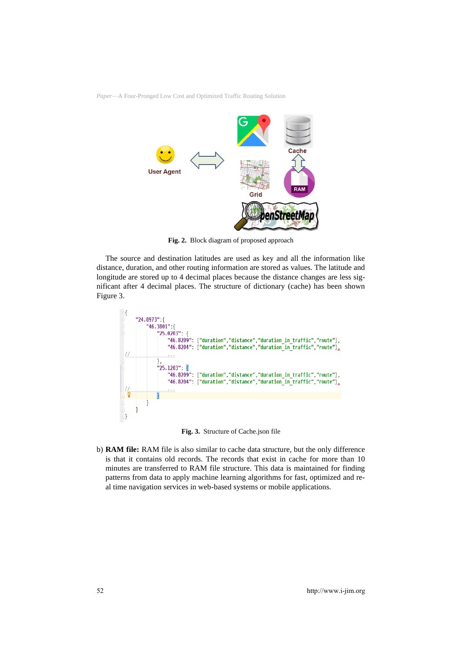

**Fig. 2.** Block diagram of proposed approach

The source and destination latitudes are used as key and all the information like distance, duration, and other routing information are stored as values. The latitude and longitude are stored up to 4 decimal places because the distance changes are less significant after 4 decimal places. The structure of dictionary (cache) has been shown Figure 3.



**Fig. 3.** Structure of Cache.json file

b) **RAM file:** RAM file is also similar to cache data structure, but the only difference is that it contains old records. The records that exist in cache for more than 10 minutes are transferred to RAM file structure. This data is maintained for finding patterns from data to apply machine learning algorithms for fast, optimized and real time navigation services in web-based systems or mobile applications.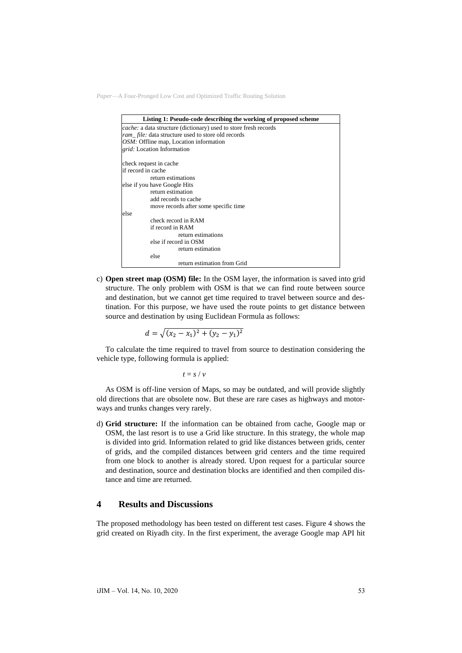| Listing 1: Pseudo-code describing the working of proposed scheme        |  |  |  |  |  |
|-------------------------------------------------------------------------|--|--|--|--|--|
| <i>cache:</i> a data structure (dictionary) used to store fresh records |  |  |  |  |  |
| ram_file: data structure used to store old records                      |  |  |  |  |  |
| OSM: Offline map, Location information                                  |  |  |  |  |  |
| grid: Location Information                                              |  |  |  |  |  |
| check request in cache                                                  |  |  |  |  |  |
| if record in cache                                                      |  |  |  |  |  |
| return estimations                                                      |  |  |  |  |  |
| else if you have Google Hits                                            |  |  |  |  |  |
| return estimation                                                       |  |  |  |  |  |
| add records to cache                                                    |  |  |  |  |  |
| move records after some specific time                                   |  |  |  |  |  |
| else                                                                    |  |  |  |  |  |
| check record in RAM                                                     |  |  |  |  |  |
| if record in RAM                                                        |  |  |  |  |  |
| return estimations                                                      |  |  |  |  |  |
| else if record in OSM                                                   |  |  |  |  |  |
| return estimation                                                       |  |  |  |  |  |
| else                                                                    |  |  |  |  |  |
| return estimation from Grid                                             |  |  |  |  |  |

c) **Open street map (OSM) file:** In the OSM layer, the information is saved into grid structure. The only problem with OSM is that we can find route between source and destination, but we cannot get time required to travel between source and destination. For this purpose, we have used the route points to get distance between source and destination by using Euclidean Formula as follows:

$$
d = \sqrt{(x_2 - x_1)^2 + (y_2 - y_1)^2}
$$

To calculate the time required to travel from source to destination considering the vehicle type, following formula is applied:

$$
t = s / v
$$

As OSM is off-line version of Maps, so may be outdated, and will provide slightly old directions that are obsolete now. But these are rare cases as highways and motorways and trunks changes very rarely.

d) **Grid structure:** If the information can be obtained from cache, Google map or OSM, the last resort is to use a Grid like structure. In this strategy, the whole map is divided into grid. Information related to grid like distances between grids, center of grids, and the compiled distances between grid centers and the time required from one block to another is already stored. Upon request for a particular source and destination, source and destination blocks are identified and then compiled distance and time are returned.

#### **4 Results and Discussions**

The proposed methodology has been tested on different test cases. Figure 4 shows the grid created on Riyadh city. In the first experiment, the average Google map API hit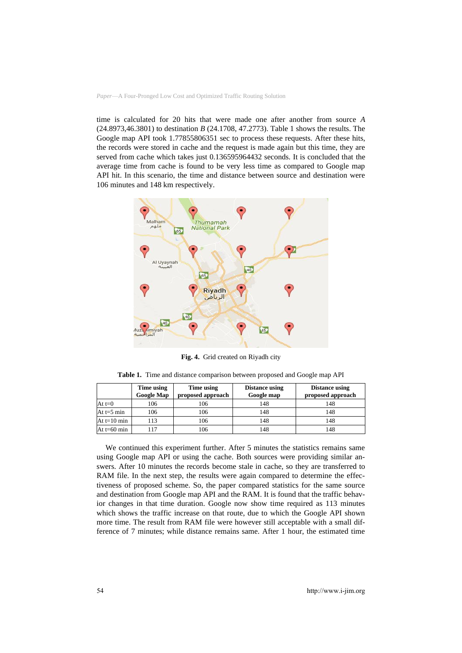time is calculated for 20 hits that were made one after another from source *A* (24.8973,46.3801) to destination *B* (24.1708, 47.2773). Table 1 shows the results. The Google map API took 1.77855806351 sec to process these requests. After these hits, the records were stored in cache and the request is made again but this time, they are served from cache which takes just 0.136595964432 seconds. It is concluded that the average time from cache is found to be very less time as compared to Google map API hit. In this scenario, the time and distance between source and destination were 106 minutes and 148 km respectively.



**Fig. 4.** Grid created on Riyadh city

|  |  |  |  | Table 1. Time and distance comparison between proposed and Google map API |  |
|--|--|--|--|---------------------------------------------------------------------------|--|
|--|--|--|--|---------------------------------------------------------------------------|--|

|               | Time using<br><b>Google Map</b> | Time using<br>proposed approach | <b>Distance using</b><br>Google map | <b>Distance using</b><br>proposed approach |
|---------------|---------------------------------|---------------------------------|-------------------------------------|--------------------------------------------|
| At $t=0$      | 106                             | 106                             | 148                                 | 148                                        |
| At $t=5$ min  | 106                             | 106                             | 148                                 | 148                                        |
| At $t=10$ min | 113                             | 106                             | 148                                 | 148                                        |
| At $t=60$ min | 17                              | 106                             | 148                                 | 148                                        |

We continued this experiment further. After 5 minutes the statistics remains same using Google map API or using the cache. Both sources were providing similar answers. After 10 minutes the records become stale in cache, so they are transferred to RAM file. In the next step, the results were again compared to determine the effectiveness of proposed scheme. So, the paper compared statistics for the same source and destination from Google map API and the RAM. It is found that the traffic behavior changes in that time duration. Google now show time required as 113 minutes which shows the traffic increase on that route, due to which the Google API shown more time. The result from RAM file were however still acceptable with a small difference of 7 minutes; while distance remains same. After 1 hour, the estimated time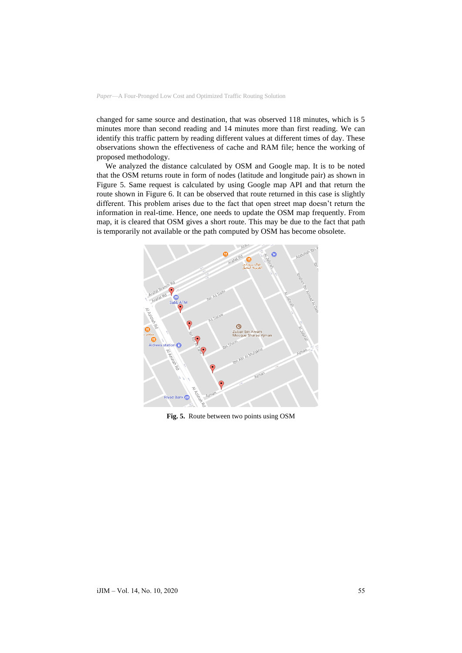changed for same source and destination, that was observed 118 minutes, which is 5 minutes more than second reading and 14 minutes more than first reading. We can identify this traffic pattern by reading different values at different times of day. These observations shown the effectiveness of cache and RAM file; hence the working of proposed methodology.

We analyzed the distance calculated by OSM and Google map. It is to be noted that the OSM returns route in form of nodes (latitude and longitude pair) as shown in Figure 5. Same request is calculated by using Google map API and that return the route shown in Figure 6. It can be observed that route returned in this case is slightly different. This problem arises due to the fact that open street map doesn't return the information in real-time. Hence, one needs to update the OSM map frequently. From map, it is cleared that OSM gives a short route. This may be due to the fact that path is temporarily not available or the path computed by OSM has become obsolete.



**Fig. 5.** Route between two points using OSM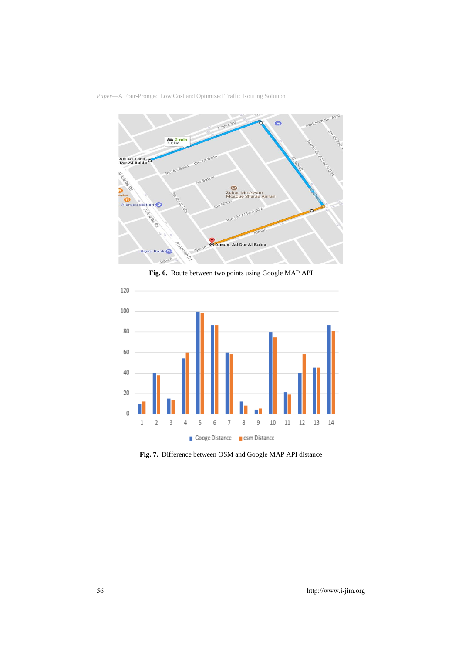



**Fig. 6.** Route between two points using Google MAP API



**Fig. 7.** Difference between OSM and Google MAP API distance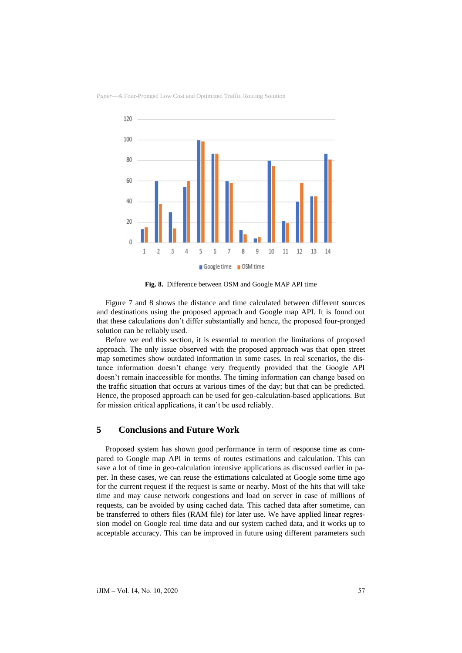

**Fig. 8.** Difference between OSM and Google MAP API time

Figure 7 and 8 shows the distance and time calculated between different sources and destinations using the proposed approach and Google map API. It is found out that these calculations don't differ substantially and hence, the proposed four-pronged solution can be reliably used.

Before we end this section, it is essential to mention the limitations of proposed approach. The only issue observed with the proposed approach was that open street map sometimes show outdated information in some cases. In real scenarios, the distance information doesn't change very frequently provided that the Google API doesn't remain inaccessible for months. The timing information can change based on the traffic situation that occurs at various times of the day; but that can be predicted. Hence, the proposed approach can be used for geo-calculation-based applications. But for mission critical applications, it can't be used reliably.

## **5 Conclusions and Future Work**

Proposed system has shown good performance in term of response time as compared to Google map API in terms of routes estimations and calculation. This can save a lot of time in geo-calculation intensive applications as discussed earlier in paper. In these cases, we can reuse the estimations calculated at Google some time ago for the current request if the request is same or nearby. Most of the hits that will take time and may cause network congestions and load on server in case of millions of requests, can be avoided by using cached data. This cached data after sometime, can be transferred to others files (RAM file) for later use. We have applied linear regression model on Google real time data and our system cached data, and it works up to acceptable accuracy. This can be improved in future using different parameters such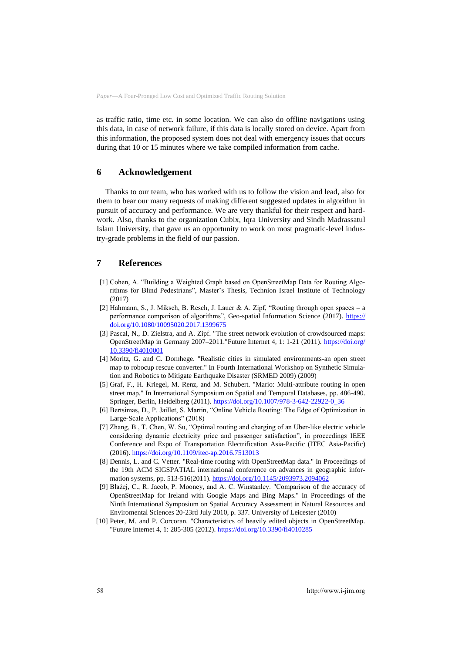as traffic ratio, time etc. in some location. We can also do offline navigations using this data, in case of network failure, if this data is locally stored on device. Apart from this information, the proposed system does not deal with emergency issues that occurs during that 10 or 15 minutes where we take compiled information from cache.

#### **6 Acknowledgement**

Thanks to our team, who has worked with us to follow the vision and lead, also for them to bear our many requests of making different suggested updates in algorithm in pursuit of accuracy and performance. We are very thankful for their respect and hardwork. Also, thanks to the organization Cubix, Iqra University and Sindh Madrassatul Islam University, that gave us an opportunity to work on most pragmatic-level industry-grade problems in the field of our passion.

## **7 References**

- [1] Cohen, A. "Building a Weighted Graph based on OpenStreetMap Data for Routing Algorithms for Blind Pedestrians", Master's Thesis, Technion Israel Institute of Technology (2017)
- [2] Hahmann, S., J. Miksch, B. Resch, J. Lauer & A. Zipf, "Routing through open spaces a performance comparison of algorithms", Geo-spatial Information Science (2017). [https://](https://doi.org/10.1080/10095020.2017.1399675) [doi.org/10.1080/10095020.2017.1399675](https://doi.org/10.1080/10095020.2017.1399675)
- [3] Pascal, N., D. Zielstra, and A. Zipf. "The street network evolution of crowdsourced maps: OpenStreetMap in Germany 2007–2011."Future Internet 4, 1: 1-21 (2011). [https://doi.org/](https://doi.org/10.3390/fi4010001) [10.3390/fi4010001](https://doi.org/10.3390/fi4010001)
- [4] Moritz, G. and C. Dornhege. "Realistic cities in simulated environments-an open street map to robocup rescue converter." In Fourth International Workshop on Synthetic Simulation and Robotics to Mitigate Earthquake Disaster (SRMED 2009) (2009)
- [5] Graf, F., H. Kriegel, M. Renz, and M. Schubert. "Mario: Multi-attribute routing in open street map." In International Symposium on Spatial and Temporal Databases, pp. 486-490. Springer, Berlin, Heidelberg (2011). [https://doi.org/10.1007/978-3-642-22922-0\\_36](https://doi.org/10.1007/978-3-642-22922-0_36)
- [6] Bertsimas, D., P. Jaillet, S. Martin, "Online Vehicle Routing: The Edge of Optimization in Large-Scale Applications" (2018)
- [7] Zhang, B., T. Chen, W. Su, "Optimal routing and charging of an Uber-like electric vehicle considering dynamic electricity price and passenger satisfaction", in proceedings IEEE Conference and Expo of Transportation Electrification Asia-Pacific (ITEC Asia-Pacific) (2016). <https://doi.org/10.1109/itec-ap.2016.7513013>
- [8] Dennis, L. and C. Vetter. "Real-time routing with OpenStreetMap data." In Proceedings of the 19th ACM SIGSPATIAL international conference on advances in geographic information systems, pp. 513-516(2011).<https://doi.org/10.1145/2093973.2094062>
- [9] Błażej, C., R. Jacob, P. Mooney, and A. C. Winstanley. "Comparison of the accuracy of OpenStreetMap for Ireland with Google Maps and Bing Maps." In Proceedings of the Ninth International Symposium on Spatial Accuracy Assessment in Natural Resources and Enviromental Sciences 20-23rd July 2010, p. 337. University of Leicester (2010)
- [10] Peter, M. and P. Corcoran. "Characteristics of heavily edited objects in OpenStreetMap. "Future Internet 4, 1: 285-305 (2012). <https://doi.org/10.3390/fi4010285>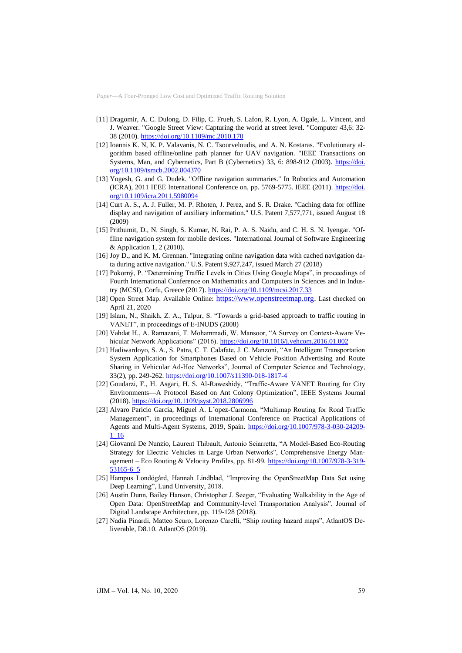- [11] Dragomir, A. C. Dulong, D. Filip, C. Frueh, S. Lafon, R. Lyon, A. Ogale, L. Vincent, and J. Weaver. "Google Street View: Capturing the world at street level. "Computer 43,6: 32- 38 (2010). <https://doi.org/10.1109/mc.2010.170>
- [12] Ioannis K. N, K. P. Valavanis, N. C. Tsourveloudis, and A. N. Kostaras. "Evolutionary algorithm based offline/online path planner for UAV navigation. "IEEE Transactions on Systems, Man, and Cybernetics, Part B (Cybernetics) 33, 6: 898-912 (2003). [https://doi.](https://doi.org/10.1109/tsmcb.2002.804370) [org/10.1109/tsmcb.2002.804370](https://doi.org/10.1109/tsmcb.2002.804370)
- [13] Yogesh, G. and G. Dudek. "Offline navigation summaries." In Robotics and Automation (ICRA), 2011 IEEE International Conference on, pp. 5769-5775. IEEE (2011). [https://doi.](https://doi.org/10.1109/icra.2011.5980094) [org/10.1109/icra.2011.5980094](https://doi.org/10.1109/icra.2011.5980094)
- [14] Curt A. S., A. J. Fuller, M. P. Rhoten, J. Perez, and S. R. Drake. "Caching data for offline display and navigation of auxiliary information." U.S. Patent 7,577,771, issued August 18 (2009)
- [15] Prithumit, D., N. Singh, S. Kumar, N. Rai, P. A. S. Naidu, and C. H. S. N. Iyengar. "Offline navigation system for mobile devices. "International Journal of Software Engineering & Application 1, 2 (2010).
- [16] Joy D., and K. M. Grennan. "Integrating online navigation data with cached navigation data during active navigation." U.S. Patent 9,927,247, issued March 27 (2018)
- [17] Pokorný, P. "Determining Traffic Levels in Cities Using Google Maps", in proceedings of Fourth International Conference on Mathematics and Computers in Sciences and in Industry (MCSI), Corfu, Greece (2017). <https://doi.org/10.1109/mcsi.2017.33>
- [18] Open Street Map. Available Online: [https://www.openstreetmap.org.](https://www.openstreetmap.org/) Last checked on April 21, 2020
- [19] Islam, N., Shaikh, Z. A., Talpur, S. "Towards a grid-based approach to traffic routing in VANET", in proceedings of E-INUDS (2008)
- [20] Vahdat H., A. Ramazani, T. Mohammadi, W. Mansoor, "A Survey on Context-Aware Vehicular Network Applications" (2016). <https://doi.org/10.1016/j.vehcom.2016.01.002>
- [21] Hadiwardoyo, S. A., S. Patra, C. T. Calafate, J. C. Manzoni, "An Intelligent Transportation System Application for Smartphones Based on Vehicle Position Advertising and Route Sharing in Vehicular Ad-Hoc Networks", Journal of Computer Science and Technology, 33(2), pp. 249-262. <https://doi.org/10.1007/s11390-018-1817-4>
- [22] Goudarzi, F., H. Asgari, H. S. Al-Raweshidy, "Traffic-Aware VANET Routing for City Environments—A Protocol Based on Ant Colony Optimization", IEEE Systems Journal (2018). <https://doi.org/10.1109/jsyst.2018.2806996>
- [23] Alvaro Paricio Garcia, Miguel A. L´opez-Carmona, "Multimap Routing for Road Traffic Management", in proceedings of International Conference on Practical Applications of Agents and Multi-Agent Systems, 2019, Spain. [https://doi.org/10.1007/978-3-030-24209-](https://doi.org/10.1007/978-3-030-24209-1_16) [1\\_16](https://doi.org/10.1007/978-3-030-24209-1_16)
- [24] Giovanni De Nunzio, Laurent Thibault, Antonio Sciarretta, "A Model-Based Eco-Routing Strategy for Electric Vehicles in Large Urban Networks", Comprehensive Energy Management – Eco Routing & Velocity Profiles, pp. 81-99. [https://doi.org/10.1007/978-3-319-](https://doi.org/10.1007/978-3-319-53165-6_5) [53165-6\\_5](https://doi.org/10.1007/978-3-319-53165-6_5)
- [25] Hampus Londögård, Hannah Lindblad, "Improving the OpenStreetMap Data Set using Deep Learning", Lund University, 2018.
- [26] Austin Dunn, Bailey Hanson, Christopher J. Seeger, "Evaluating Walkability in the Age of Open Data: OpenStreetMap and Community-level Transportation Analysis", Journal of Digital Landscape Architecture, pp. 119-128 (2018).
- [27] Nadia Pinardi, Matteo Scuro, Lorenzo Carelli, "Ship routing hazard maps", AtlantOS Deliverable, D8.10. AtlantOS (2019).